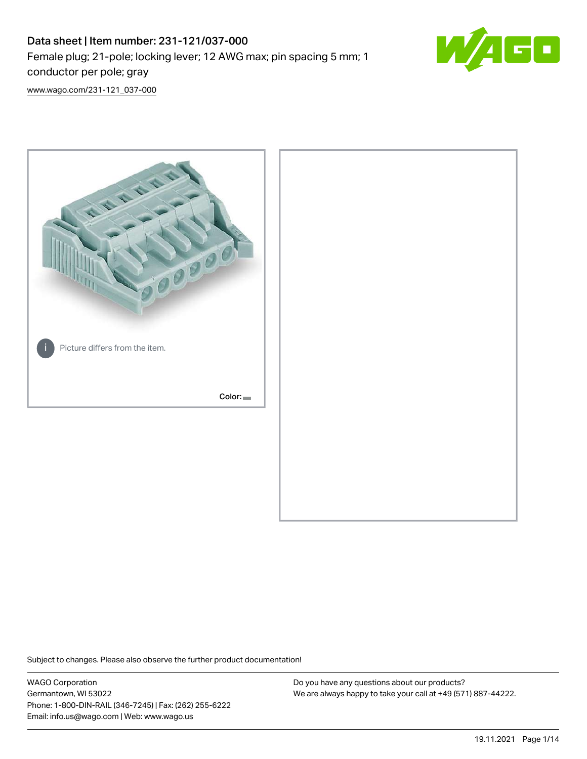# Data sheet | Item number: 231-121/037-000 Female plug; 21-pole; locking lever; 12 AWG max; pin spacing 5 mm; 1 conductor per pole; gray



[www.wago.com/231-121\\_037-000](http://www.wago.com/231-121_037-000)



Subject to changes. Please also observe the further product documentation!

WAGO Corporation Germantown, WI 53022 Phone: 1-800-DIN-RAIL (346-7245) | Fax: (262) 255-6222 Email: info.us@wago.com | Web: www.wago.us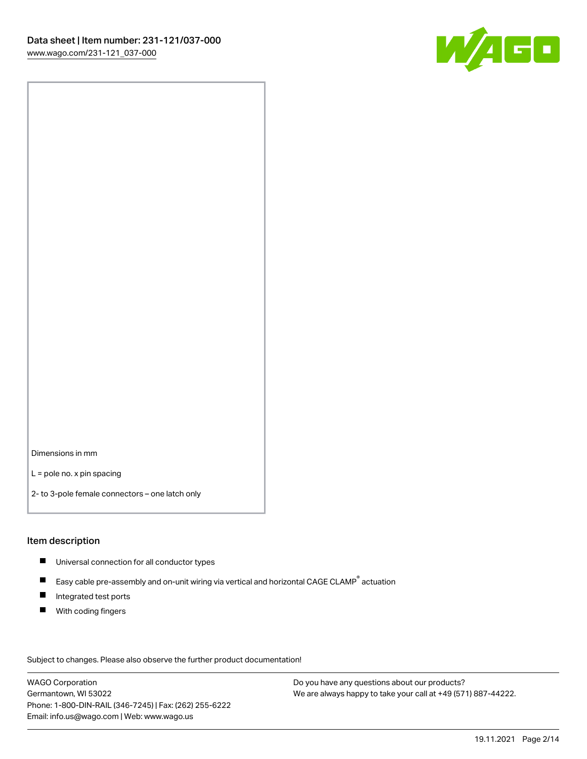

Dimensions in mm

L = pole no. x pin spacing

2- to 3-pole female connectors – one latch only

#### Item description

- **Universal connection for all conductor types**
- Easy cable pre-assembly and on-unit wiring via vertical and horizontal CAGE CLAMP<sup>®</sup> actuation  $\blacksquare$
- $\blacksquare$ Integrated test ports
- $\blacksquare$ With coding fingers

Subject to changes. Please also observe the further product documentation! Data

WAGO Corporation Germantown, WI 53022 Phone: 1-800-DIN-RAIL (346-7245) | Fax: (262) 255-6222 Email: info.us@wago.com | Web: www.wago.us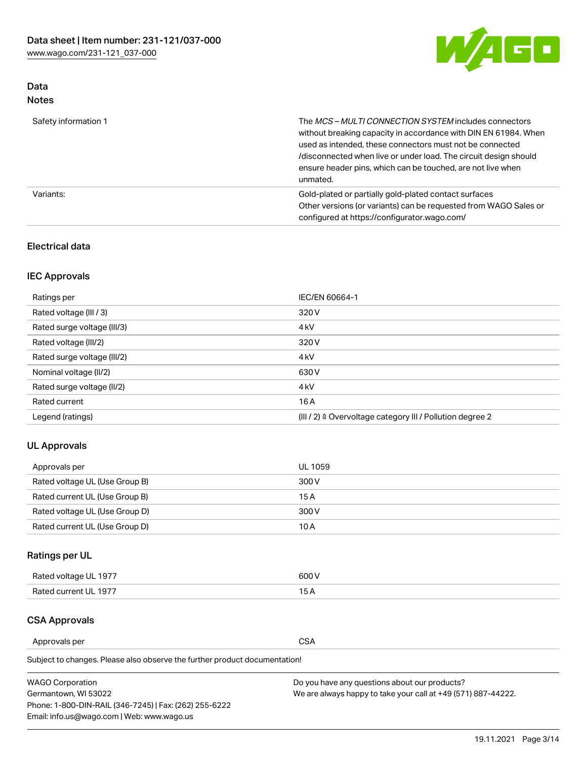

# Data Notes

| Safety information 1 | The MCS-MULTI CONNECTION SYSTEM includes connectors<br>without breaking capacity in accordance with DIN EN 61984. When<br>used as intended, these connectors must not be connected<br>/disconnected when live or under load. The circuit design should<br>ensure header pins, which can be touched, are not live when<br>unmated. |
|----------------------|-----------------------------------------------------------------------------------------------------------------------------------------------------------------------------------------------------------------------------------------------------------------------------------------------------------------------------------|
| Variants:            | Gold-plated or partially gold-plated contact surfaces<br>Other versions (or variants) can be requested from WAGO Sales or<br>configured at https://configurator.wago.com/                                                                                                                                                         |

# Electrical data

# IEC Approvals

| Ratings per                 | IEC/EN 60664-1                                                        |
|-----------------------------|-----------------------------------------------------------------------|
| Rated voltage (III / 3)     | 320 V                                                                 |
| Rated surge voltage (III/3) | 4 <sub>k</sub> V                                                      |
| Rated voltage (III/2)       | 320 V                                                                 |
| Rated surge voltage (III/2) | 4 <sub>k</sub> V                                                      |
| Nominal voltage (II/2)      | 630 V                                                                 |
| Rated surge voltage (II/2)  | 4 <sub>k</sub> V                                                      |
| Rated current               | 16A                                                                   |
| Legend (ratings)            | $(III / 2)$ $\triangle$ Overvoltage category III / Pollution degree 2 |

# UL Approvals

| Approvals per                  | UL 1059 |
|--------------------------------|---------|
| Rated voltage UL (Use Group B) | 300 V   |
| Rated current UL (Use Group B) | 15 A    |
| Rated voltage UL (Use Group D) | 300 V   |
| Rated current UL (Use Group D) | 10 A    |

# Ratings per UL

| Rated voltage UL 1977 | 600 V         |
|-----------------------|---------------|
| Rated current UL 1977 | $\sim$ $\sim$ |

# CSA Approvals

Approvals per CSA

Subject to changes. Please also observe the further product documentation!

| <b>WAGO Corporation</b>                                | Do you have any questions about our products?                 |
|--------------------------------------------------------|---------------------------------------------------------------|
| Germantown, WI 53022                                   | We are always happy to take your call at +49 (571) 887-44222. |
| Phone: 1-800-DIN-RAIL (346-7245)   Fax: (262) 255-6222 |                                                               |
| Email: info.us@wago.com   Web: www.wago.us             |                                                               |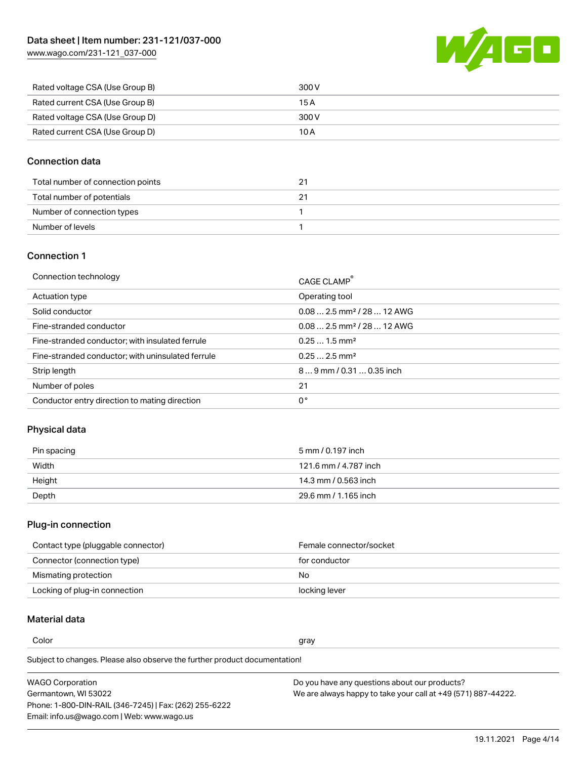[www.wago.com/231-121\\_037-000](http://www.wago.com/231-121_037-000)



| Rated voltage CSA (Use Group B) | 300 V |
|---------------------------------|-------|
| Rated current CSA (Use Group B) | 15 A  |
| Rated voltage CSA (Use Group D) | 300 V |
| Rated current CSA (Use Group D) | 10 A  |

### Connection data

| Total number of connection points |  |
|-----------------------------------|--|
| Total number of potentials        |  |
| Number of connection types        |  |
| Number of levels                  |  |

# Connection 1

| Connection technology                             | CAGE CLAMP®                             |
|---------------------------------------------------|-----------------------------------------|
| Actuation type                                    | Operating tool                          |
| Solid conductor                                   | $0.082.5$ mm <sup>2</sup> / 28  12 AWG  |
| Fine-stranded conductor                           | $0.08$ 2.5 mm <sup>2</sup> / 28  12 AWG |
| Fine-stranded conductor; with insulated ferrule   | $0.251.5$ mm <sup>2</sup>               |
| Fine-stranded conductor; with uninsulated ferrule | $0.252.5$ mm <sup>2</sup>               |
| Strip length                                      | $89$ mm $/ 0.310.35$ inch               |
| Number of poles                                   | 21                                      |
| Conductor entry direction to mating direction     | 0°                                      |

# Physical data

| Pin spacing | 5 mm / 0.197 inch     |
|-------------|-----------------------|
| Width       | 121.6 mm / 4.787 inch |
| Height      | 14.3 mm / 0.563 inch  |
| Depth       | 29.6 mm / 1.165 inch  |

# Plug-in connection

| Contact type (pluggable connector) | Female connector/socket |
|------------------------------------|-------------------------|
| Connector (connection type)        | for conductor           |
| Mismating protection               | No.                     |
| Locking of plug-in connection      | locking lever           |

# Material data

Color and the color of the color of the color of the color of the color of the color of the color of the color

Subject to changes. Please also observe the further product documentation! Material group I

| <b>WAGO Corporation</b>                                | Do you have any questions about our products?                 |
|--------------------------------------------------------|---------------------------------------------------------------|
| Germantown, WI 53022                                   | We are always happy to take your call at +49 (571) 887-44222. |
| Phone: 1-800-DIN-RAIL (346-7245)   Fax: (262) 255-6222 |                                                               |
| Email: info.us@wago.com   Web: www.wago.us             |                                                               |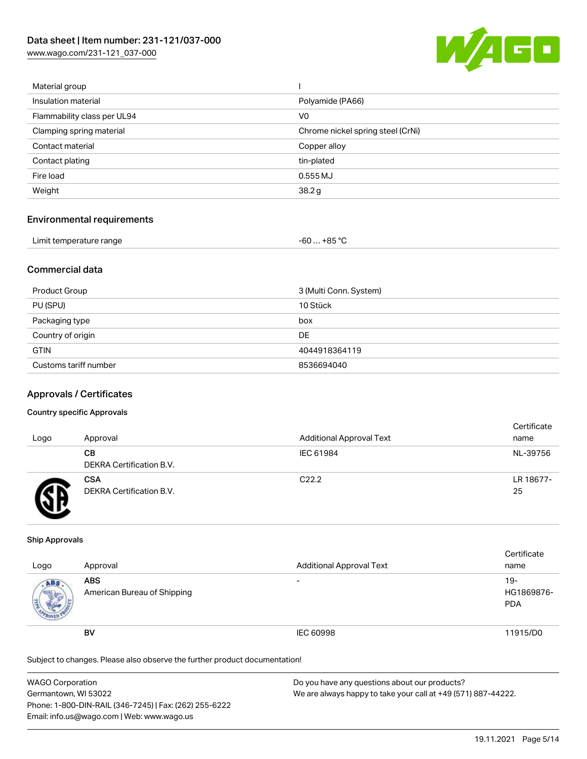[www.wago.com/231-121\\_037-000](http://www.wago.com/231-121_037-000)



| Material group              |                                   |
|-----------------------------|-----------------------------------|
| Insulation material         | Polyamide (PA66)                  |
| Flammability class per UL94 | V <sub>0</sub>                    |
| Clamping spring material    | Chrome nickel spring steel (CrNi) |
| Contact material            | Copper alloy                      |
| Contact plating             | tin-plated                        |
| Fire load                   | 0.555MJ                           |
| Weight                      | 38.2 <sub>g</sub>                 |
|                             |                                   |

#### Environmental requirements

| Limit temperature range | -60  +85 °Ր |
|-------------------------|-------------|
|-------------------------|-------------|

## Commercial data

| Product Group         | 3 (Multi Conn. System) |
|-----------------------|------------------------|
| PU (SPU)              | 10 Stück               |
| Packaging type        | box                    |
| Country of origin     | DE                     |
| <b>GTIN</b>           | 4044918364119          |
| Customs tariff number | 8536694040             |

#### Approvals / Certificates

#### Country specific Approvals

| Logo | Approval                               | <b>Additional Approval Text</b> | Certificate<br>name |
|------|----------------------------------------|---------------------------------|---------------------|
|      | CВ<br>DEKRA Certification B.V.         | IEC 61984                       | NL-39756            |
|      | <b>CSA</b><br>DEKRA Certification B.V. | C <sub>22.2</sub>               | LR 18677-<br>25     |

#### Ship Approvals

| Logo | Approval                                  | <b>Additional Approval Text</b> | Certificate<br>name                |
|------|-------------------------------------------|---------------------------------|------------------------------------|
| ABS  | <b>ABS</b><br>American Bureau of Shipping | $\overline{\phantom{0}}$        | $19 -$<br>HG1869876-<br><b>PDA</b> |
|      | <b>BV</b>                                 | IEC 60998                       | 11915/D0                           |

Subject to changes. Please also observe the further product documentation!

| <b>WAGO Corporation</b>                                | Do you have any questions about our products?                 |
|--------------------------------------------------------|---------------------------------------------------------------|
| Germantown, WI 53022                                   | We are always happy to take your call at +49 (571) 887-44222. |
| Phone: 1-800-DIN-RAIL (346-7245)   Fax: (262) 255-6222 |                                                               |
| Email: info.us@wago.com   Web: www.wago.us             |                                                               |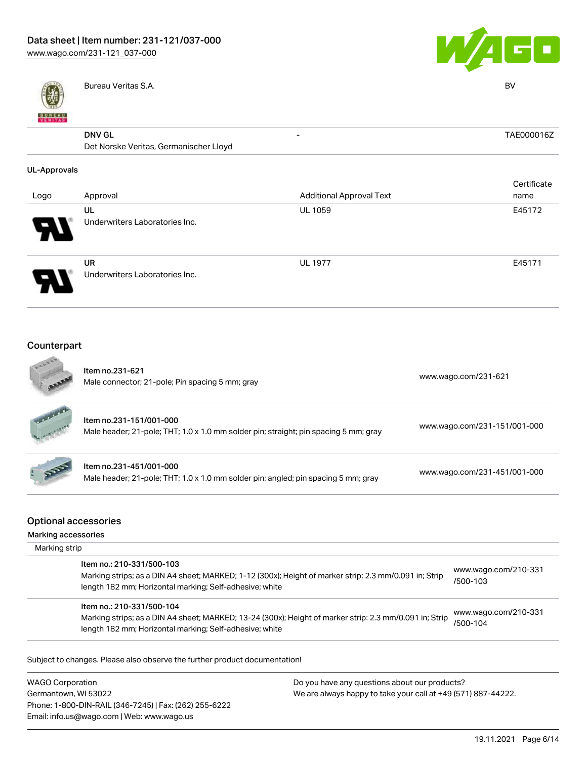



Bureau Veritas S.A. BV

# DNV GL

| <b>DNV GL</b>                          | TAE000016Z |
|----------------------------------------|------------|
| Det Norske Veritas, Germanischer Lloyd |            |

### UL-Approvals

| Logo | Approval                             | <b>Additional Approval Text</b> | Certificate<br>name |
|------|--------------------------------------|---------------------------------|---------------------|
| Э.   | UL<br>Underwriters Laboratories Inc. | <b>UL 1059</b>                  | E45172              |
|      | UR<br>Underwriters Laboratories Inc. | <b>UL 1977</b>                  | E45171              |

# Counterpart

|                                                                     | Item no.231-621<br>Male connector; 21-pole; Pin spacing 5 mm; gray                                                                                                                              | www.wago.com/231-621             |
|---------------------------------------------------------------------|-------------------------------------------------------------------------------------------------------------------------------------------------------------------------------------------------|----------------------------------|
|                                                                     | Item no.231-151/001-000<br>Male header; 21-pole; THT; 1.0 x 1.0 mm solder pin; straight; pin spacing 5 mm; gray                                                                                 | www.wago.com/231-151/001-000     |
|                                                                     | Item no.231-451/001-000<br>Male header; 21-pole; THT; 1.0 x 1.0 mm solder pin; angled; pin spacing 5 mm; gray                                                                                   | www.wago.com/231-451/001-000     |
| <b>Optional accessories</b><br>Marking accessories<br>Marking strip |                                                                                                                                                                                                 |                                  |
|                                                                     | Item no.: 210-331/500-103<br>Marking strips; as a DIN A4 sheet; MARKED; 1-12 (300x); Height of marker strip: 2.3 mm/0.091 in; Strip<br>length 182 mm; Horizontal marking; Self-adhesive; white  | www.wago.com/210-331<br>/500-103 |
|                                                                     | Item no.: 210-331/500-104<br>Marking strips; as a DIN A4 sheet; MARKED; 13-24 (300x); Height of marker strip: 2.3 mm/0.091 in; Strip<br>length 182 mm; Horizontal marking; Self-adhesive; white | www.wago.com/210-331<br>/500-104 |
|                                                                     | Subject to changes. Please also observe the further product documentation!                                                                                                                      |                                  |
| <b>WAGO Corporation</b>                                             | Do you have any questions about our products?                                                                                                                                                   |                                  |

Germantown, WI 53022 Phone: 1-800-DIN-RAIL (346-7245) | Fax: (262) 255-6222 Email: info.us@wago.com | Web: www.wago.us

We are always happy to take your call at +49 (571) 887-44222.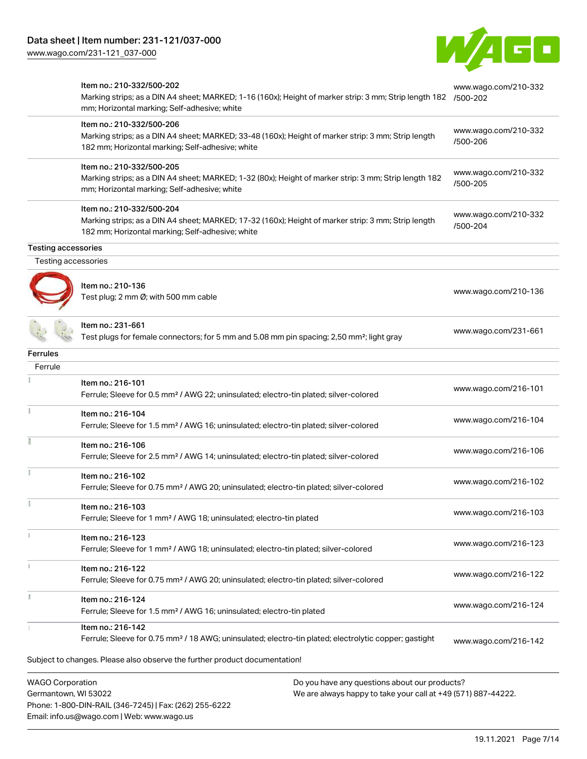Email: info.us@wago.com | Web: www.wago.us

[www.wago.com/231-121\\_037-000](http://www.wago.com/231-121_037-000)



|                                                 | Item no.: 210-332/500-202<br>Marking strips; as a DIN A4 sheet; MARKED; 1-16 (160x); Height of marker strip: 3 mm; Strip length 182<br>mm; Horizontal marking; Self-adhesive; white  | www.wago.com/210-332<br>/500-202 |
|-------------------------------------------------|--------------------------------------------------------------------------------------------------------------------------------------------------------------------------------------|----------------------------------|
|                                                 | Item no.: 210-332/500-206<br>Marking strips; as a DIN A4 sheet; MARKED; 33-48 (160x); Height of marker strip: 3 mm; Strip length<br>182 mm; Horizontal marking; Self-adhesive; white | www.wago.com/210-332<br>/500-206 |
|                                                 | Item no.: 210-332/500-205<br>Marking strips; as a DIN A4 sheet; MARKED; 1-32 (80x); Height of marker strip: 3 mm; Strip length 182<br>mm; Horizontal marking; Self-adhesive; white   | www.wago.com/210-332<br>/500-205 |
|                                                 | Item no.: 210-332/500-204<br>Marking strips; as a DIN A4 sheet; MARKED; 17-32 (160x); Height of marker strip: 3 mm; Strip length<br>182 mm; Horizontal marking; Self-adhesive; white | www.wago.com/210-332<br>/500-204 |
| <b>Testing accessories</b>                      |                                                                                                                                                                                      |                                  |
| Testing accessories                             |                                                                                                                                                                                      |                                  |
|                                                 | Item no.: 210-136<br>Test plug; 2 mm Ø; with 500 mm cable                                                                                                                            | www.wago.com/210-136             |
|                                                 | Item no.: 231-661<br>Test plugs for female connectors; for 5 mm and 5.08 mm pin spacing; 2,50 mm²; light gray                                                                        | www.wago.com/231-661             |
| <b>Ferrules</b>                                 |                                                                                                                                                                                      |                                  |
| Ferrule                                         |                                                                                                                                                                                      |                                  |
|                                                 | Item no.: 216-101<br>Ferrule; Sleeve for 0.5 mm <sup>2</sup> / AWG 22; uninsulated; electro-tin plated; silver-colored                                                               | www.wago.com/216-101             |
|                                                 | Item no.: 216-104<br>Ferrule; Sleeve for 1.5 mm <sup>2</sup> / AWG 16; uninsulated; electro-tin plated; silver-colored                                                               | www.wago.com/216-104             |
|                                                 | Item no.: 216-106<br>Ferrule; Sleeve for 2.5 mm <sup>2</sup> / AWG 14; uninsulated; electro-tin plated; silver-colored                                                               | www.wago.com/216-106             |
|                                                 | Item no.: 216-102<br>Ferrule; Sleeve for 0.75 mm <sup>2</sup> / AWG 20; uninsulated; electro-tin plated; silver-colored                                                              | www.wago.com/216-102             |
|                                                 | Item no.: 216-103<br>Ferrule; Sleeve for 1 mm <sup>2</sup> / AWG 18; uninsulated; electro-tin plated                                                                                 | www.wago.com/216-103             |
|                                                 | Item no.: 216-123<br>Ferrule; Sleeve for 1 mm <sup>2</sup> / AWG 18; uninsulated; electro-tin plated; silver-colored                                                                 | www.wago.com/216-123             |
| î.                                              | Item no.: 216-122<br>Ferrule; Sleeve for 0.75 mm <sup>2</sup> / AWG 20; uninsulated; electro-tin plated; silver-colored                                                              | www.wago.com/216-122             |
|                                                 | Item no.: 216-124<br>Ferrule; Sleeve for 1.5 mm <sup>2</sup> / AWG 16; uninsulated; electro-tin plated                                                                               | www.wago.com/216-124             |
|                                                 | Item no.: 216-142<br>Ferrule; Sleeve for 0.75 mm <sup>2</sup> / 18 AWG; uninsulated; electro-tin plated; electrolytic copper; gastight                                               | www.wago.com/216-142             |
|                                                 | Subject to changes. Please also observe the further product documentation!                                                                                                           |                                  |
| <b>WAGO Corporation</b><br>Germantown, WI 53022 | Do you have any questions about our products?<br>We are always happy to take your call at +49 (571) 887-44222.<br>Phone: 1-800-DIN-RAIL (346-7245)   Fax: (262) 255-6222             |                                  |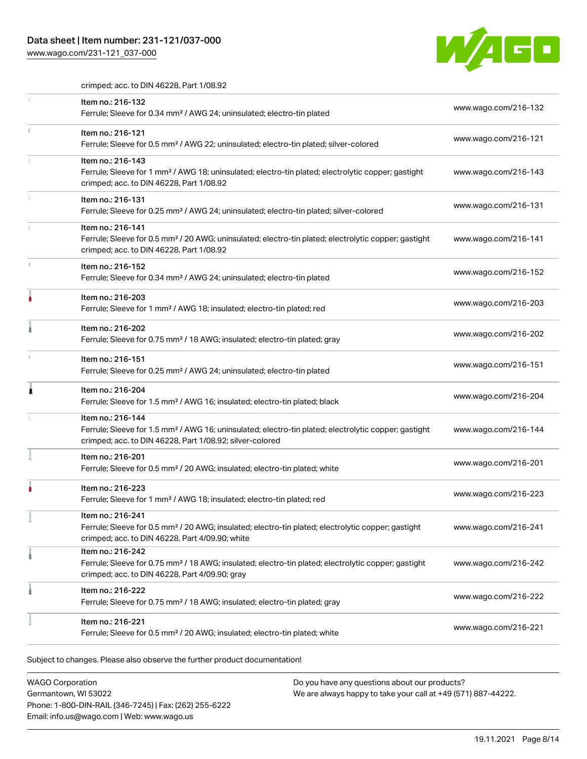# Data sheet | Item number: 231-121/037-000

[www.wago.com/231-121\\_037-000](http://www.wago.com/231-121_037-000)



crimped; acc. to DIN 46228, Part 1/08.92

|   | Item no.: 216-132<br>Ferrule; Sleeve for 0.34 mm <sup>2</sup> / AWG 24; uninsulated; electro-tin plated                                                                                           | www.wago.com/216-132 |
|---|---------------------------------------------------------------------------------------------------------------------------------------------------------------------------------------------------|----------------------|
|   | Item no.: 216-121<br>Ferrule; Sleeve for 0.5 mm <sup>2</sup> / AWG 22; uninsulated; electro-tin plated; silver-colored                                                                            | www.wago.com/216-121 |
|   | Item no.: 216-143<br>Ferrule; Sleeve for 1 mm <sup>2</sup> / AWG 18; uninsulated; electro-tin plated; electrolytic copper; gastight<br>crimped; acc. to DIN 46228, Part 1/08.92                   | www.wago.com/216-143 |
|   | Item no.: 216-131<br>Ferrule; Sleeve for 0.25 mm <sup>2</sup> / AWG 24; uninsulated; electro-tin plated; silver-colored                                                                           | www.wago.com/216-131 |
|   | Item no.: 216-141<br>Ferrule; Sleeve for 0.5 mm <sup>2</sup> / 20 AWG; uninsulated; electro-tin plated; electrolytic copper; gastight<br>crimped; acc. to DIN 46228, Part 1/08.92                 | www.wago.com/216-141 |
|   | Item no.: 216-152<br>Ferrule; Sleeve for 0.34 mm <sup>2</sup> / AWG 24; uninsulated; electro-tin plated                                                                                           | www.wago.com/216-152 |
|   | Item no.: 216-203<br>Ferrule; Sleeve for 1 mm <sup>2</sup> / AWG 18; insulated; electro-tin plated; red                                                                                           | www.wago.com/216-203 |
|   | Item no.: 216-202<br>Ferrule; Sleeve for 0.75 mm <sup>2</sup> / 18 AWG; insulated; electro-tin plated; gray                                                                                       | www.wago.com/216-202 |
|   | Item no.: 216-151<br>Ferrule; Sleeve for 0.25 mm <sup>2</sup> / AWG 24; uninsulated; electro-tin plated                                                                                           | www.wago.com/216-151 |
| Ă | Item no.: 216-204<br>Ferrule; Sleeve for 1.5 mm <sup>2</sup> / AWG 16; insulated; electro-tin plated; black                                                                                       | www.wago.com/216-204 |
|   | Item no.: 216-144<br>Ferrule; Sleeve for 1.5 mm <sup>2</sup> / AWG 16; uninsulated; electro-tin plated; electrolytic copper; gastight<br>crimped; acc. to DIN 46228, Part 1/08.92; silver-colored | www.wago.com/216-144 |
|   | Item no.: 216-201<br>Ferrule; Sleeve for 0.5 mm <sup>2</sup> / 20 AWG; insulated; electro-tin plated; white                                                                                       | www.wago.com/216-201 |
|   | Item no.: 216-223<br>Ferrule; Sleeve for 1 mm <sup>2</sup> / AWG 18; insulated; electro-tin plated; red                                                                                           | www.wago.com/216-223 |
|   | Item no.: 216-241<br>Ferrule; Sleeve for 0.5 mm <sup>2</sup> / 20 AWG; insulated; electro-tin plated; electrolytic copper; gastight<br>crimped; acc. to DIN 46228, Part 4/09.90; white            | www.wago.com/216-241 |
|   | Item no.: 216-242<br>Ferrule; Sleeve for 0.75 mm <sup>2</sup> / 18 AWG; insulated; electro-tin plated; electrolytic copper; gastight<br>crimped; acc. to DIN 46228, Part 4/09.90; gray            | www.wago.com/216-242 |
|   | Item no.: 216-222<br>Ferrule; Sleeve for 0.75 mm <sup>2</sup> / 18 AWG; insulated; electro-tin plated; gray                                                                                       | www.wago.com/216-222 |
|   | Item no.: 216-221<br>Ferrule; Sleeve for 0.5 mm <sup>2</sup> / 20 AWG; insulated; electro-tin plated; white                                                                                       | www.wago.com/216-221 |

| <b>WAGO Corporation</b>                                |
|--------------------------------------------------------|
| Germantown, WI 53022                                   |
| Phone: 1-800-DIN-RAIL (346-7245)   Fax: (262) 255-6222 |
| Email: info.us@wago.com   Web: www.wago.us             |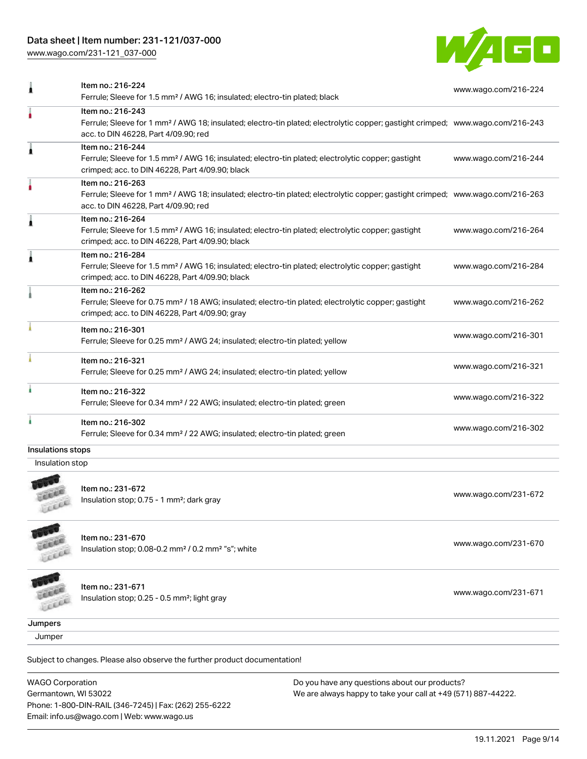# Data sheet | Item number: 231-121/037-000

[www.wago.com/231-121\\_037-000](http://www.wago.com/231-121_037-000)



|                   | Item no.: 216-224<br>Ferrule; Sleeve for 1.5 mm <sup>2</sup> / AWG 16; insulated; electro-tin plated; black                                                                                             | www.wago.com/216-224 |
|-------------------|---------------------------------------------------------------------------------------------------------------------------------------------------------------------------------------------------------|----------------------|
| ٥                 | Item no.: 216-243<br>Ferrule; Sleeve for 1 mm <sup>2</sup> / AWG 18; insulated; electro-tin plated; electrolytic copper; gastight crimped; www.wago.com/216-243<br>acc. to DIN 46228, Part 4/09.90; red |                      |
|                   | Item no.: 216-244<br>Ferrule; Sleeve for 1.5 mm <sup>2</sup> / AWG 16; insulated; electro-tin plated; electrolytic copper; gastight<br>crimped; acc. to DIN 46228, Part 4/09.90; black                  | www.wago.com/216-244 |
|                   | Item no.: 216-263<br>Ferrule; Sleeve for 1 mm <sup>2</sup> / AWG 18; insulated; electro-tin plated; electrolytic copper; gastight crimped; www.wago.com/216-263<br>acc. to DIN 46228, Part 4/09.90; red |                      |
|                   | Item no.: 216-264<br>Ferrule; Sleeve for 1.5 mm <sup>2</sup> / AWG 16; insulated; electro-tin plated; electrolytic copper; gastight<br>crimped; acc. to DIN 46228, Part 4/09.90; black                  | www.wago.com/216-264 |
|                   | Item no.: 216-284<br>Ferrule; Sleeve for 1.5 mm <sup>2</sup> / AWG 16; insulated; electro-tin plated; electrolytic copper; gastight<br>crimped; acc. to DIN 46228, Part 4/09.90; black                  | www.wago.com/216-284 |
|                   | Item no.: 216-262<br>Ferrule; Sleeve for 0.75 mm <sup>2</sup> / 18 AWG; insulated; electro-tin plated; electrolytic copper; gastight<br>crimped; acc. to DIN 46228, Part 4/09.90; gray                  | www.wago.com/216-262 |
|                   | Item no.: 216-301<br>Ferrule; Sleeve for 0.25 mm <sup>2</sup> / AWG 24; insulated; electro-tin plated; yellow                                                                                           | www.wago.com/216-301 |
|                   | Item no.: 216-321<br>Ferrule; Sleeve for 0.25 mm <sup>2</sup> / AWG 24; insulated; electro-tin plated; yellow                                                                                           | www.wago.com/216-321 |
|                   | Item no.: 216-322<br>Ferrule; Sleeve for 0.34 mm <sup>2</sup> / 22 AWG; insulated; electro-tin plated; green                                                                                            | www.wago.com/216-322 |
|                   | Item no.: 216-302<br>Ferrule; Sleeve for 0.34 mm <sup>2</sup> / 22 AWG; insulated; electro-tin plated; green                                                                                            | www.wago.com/216-302 |
| Insulations stops |                                                                                                                                                                                                         |                      |
| Insulation stop   |                                                                                                                                                                                                         |                      |
|                   | Item no.: 231-672<br>Insulation stop; 0.75 - 1 mm <sup>2</sup> ; dark gray                                                                                                                              | www.wago.com/231-672 |
|                   | Item no.: 231-670<br>Insulation stop; 0.08-0.2 mm <sup>2</sup> / 0.2 mm <sup>2</sup> "s"; white                                                                                                         | www.wago.com/231-670 |
|                   | Item no.: 231-671<br>Insulation stop; 0.25 - 0.5 mm <sup>2</sup> ; light gray                                                                                                                           | www.wago.com/231-671 |
| Jumpers           |                                                                                                                                                                                                         |                      |

**Jumper** 

Subject to changes. Please also observe the further product documentation!

WAGO Corporation Germantown, WI 53022 Phone: 1-800-DIN-RAIL (346-7245) | Fax: (262) 255-6222 Email: info.us@wago.com | Web: www.wago.us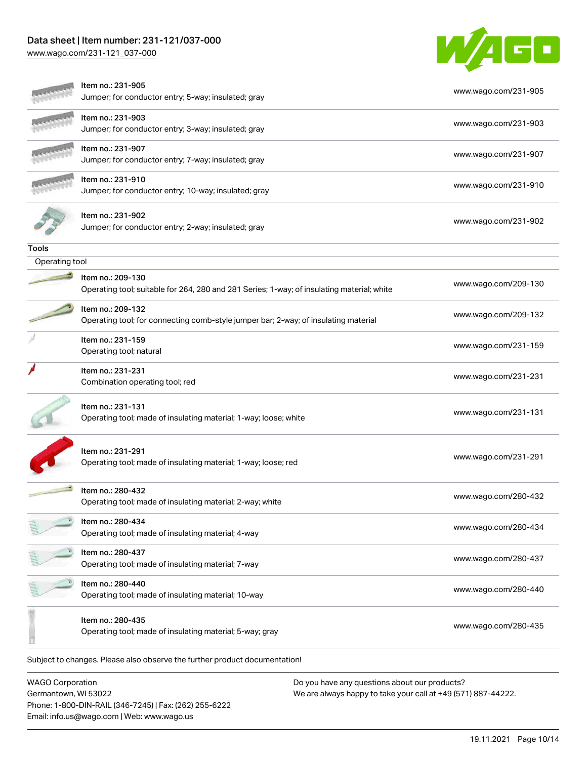# Data sheet | Item number: 231-121/037-000

[www.wago.com/231-121\\_037-000](http://www.wago.com/231-121_037-000)



|                | Item no.: 231-905<br>Jumper; for conductor entry; 5-way; insulated; gray                   | www.wago.com/231-905 |
|----------------|--------------------------------------------------------------------------------------------|----------------------|
|                | Item no.: 231-903<br>Jumper; for conductor entry; 3-way; insulated; gray                   | www.wago.com/231-903 |
|                | Item no.: 231-907<br>Jumper; for conductor entry; 7-way; insulated; gray                   | www.wago.com/231-907 |
|                | Item no.: 231-910<br>Jumper; for conductor entry; 10-way; insulated; gray                  | www.wago.com/231-910 |
|                | Item no.: 231-902<br>Jumper; for conductor entry; 2-way; insulated; gray                   | www.wago.com/231-902 |
| <b>Tools</b>   |                                                                                            |                      |
| Operating tool |                                                                                            |                      |
|                | Item no.: 209-130                                                                          |                      |
|                | Operating tool; suitable for 264, 280 and 281 Series; 1-way; of insulating material; white | www.wago.com/209-130 |
|                | Item no.: 209-132                                                                          |                      |
|                | Operating tool; for connecting comb-style jumper bar; 2-way; of insulating material        | www.wago.com/209-132 |
|                | Item no.: 231-159                                                                          |                      |
|                | Operating tool; natural                                                                    | www.wago.com/231-159 |
|                | Item no.: 231-231                                                                          |                      |
|                | Combination operating tool; red                                                            | www.wago.com/231-231 |
|                | Item no.: 231-131                                                                          |                      |
|                | Operating tool; made of insulating material; 1-way; loose; white                           | www.wago.com/231-131 |
|                | Item no.: 231-291<br>Operating tool; made of insulating material; 1-way; loose; red        | www.wago.com/231-291 |
|                | Item no.: 280-432<br>Operating tool; made of insulating material; 2-way; white             | www.wago.com/280-432 |
|                | Item no.: 280-434<br>Operating tool; made of insulating material; 4-way                    | www.wago.com/280-434 |
|                | Item no.: 280-437<br>Operating tool; made of insulating material; 7-way                    | www.wago.com/280-437 |
|                | Item no.: 280-440<br>Operating tool; made of insulating material; 10-way                   | www.wago.com/280-440 |
|                | Item no.: 280-435<br>Operating tool; made of insulating material; 5-way; gray              | www.wago.com/280-435 |
|                | Subject to changes. Please also observe the further product documentation!                 |                      |
|                |                                                                                            |                      |

WAGO Corporation Germantown, WI 53022 Phone: 1-800-DIN-RAIL (346-7245) | Fax: (262) 255-6222 Email: info.us@wago.com | Web: www.wago.us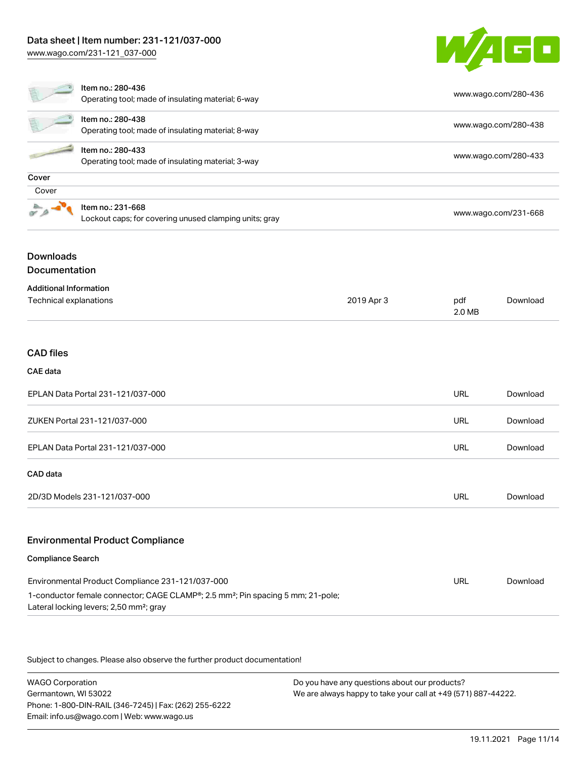[www.wago.com/231-121\\_037-000](http://www.wago.com/231-121_037-000)



|                                                                                             | Item no.: 280-436<br>Operating tool; made of insulating material; 6-way     |            | www.wago.com/280-436 |          |
|---------------------------------------------------------------------------------------------|-----------------------------------------------------------------------------|------------|----------------------|----------|
|                                                                                             |                                                                             |            |                      |          |
|                                                                                             | Item no.: 280-438<br>Operating tool; made of insulating material; 8-way     |            | www.wago.com/280-438 |          |
|                                                                                             | Item no.: 280-433<br>Operating tool; made of insulating material; 3-way     |            | www.wago.com/280-433 |          |
|                                                                                             |                                                                             |            |                      |          |
| Cover                                                                                       |                                                                             |            |                      |          |
| Cover                                                                                       |                                                                             |            |                      |          |
|                                                                                             | Item no.: 231-668<br>Lockout caps; for covering unused clamping units; gray |            | www.wago.com/231-668 |          |
| <b>Downloads</b>                                                                            |                                                                             |            |                      |          |
| Documentation                                                                               |                                                                             |            |                      |          |
| <b>Additional Information</b><br>Technical explanations                                     |                                                                             | 2019 Apr 3 | pdf<br>2.0 MB        | Download |
| <b>CAD files</b>                                                                            |                                                                             |            |                      |          |
| <b>CAE</b> data                                                                             |                                                                             |            |                      |          |
| EPLAN Data Portal 231-121/037-000                                                           |                                                                             | <b>URL</b> | Download             |          |
| ZUKEN Portal 231-121/037-000                                                                |                                                                             |            | <b>URL</b>           | Download |
| EPLAN Data Portal 231-121/037-000                                                           |                                                                             |            | <b>URL</b>           | Download |
| CAD data                                                                                    |                                                                             |            |                      |          |
| 2D/3D Models 231-121/037-000                                                                |                                                                             |            | <b>URL</b>           | Download |
|                                                                                             | <b>Environmental Product Compliance</b>                                     |            |                      |          |
| <b>Compliance Search</b>                                                                    |                                                                             |            |                      |          |
| Environmental Product Compliance 231-121/037-000                                            |                                                                             |            | <b>URL</b>           | Download |
| 1-conductor female connector; CAGE CLAMP®; 2.5 mm <sup>2</sup> ; Pin spacing 5 mm; 21-pole; |                                                                             |            |                      |          |

Lateral locking levers; 2,50 mm²; gray

Subject to changes. Please also observe the further product documentation!

WAGO Corporation Germantown, WI 53022 Phone: 1-800-DIN-RAIL (346-7245) | Fax: (262) 255-6222 Email: info.us@wago.com | Web: www.wago.us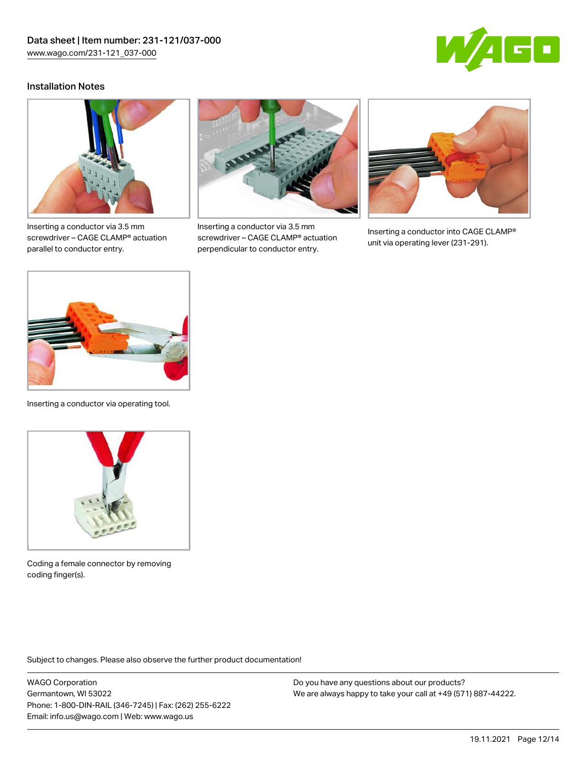

### Installation Notes



Inserting a conductor via 3.5 mm screwdriver – CAGE CLAMP® actuation parallel to conductor entry.



Inserting a conductor via 3.5 mm screwdriver – CAGE CLAMP® actuation perpendicular to conductor entry.



Inserting a conductor into CAGE CLAMP® unit via operating lever (231-291).



Inserting a conductor via operating tool.



Coding a female connector by removing coding finger(s).

Subject to changes. Please also observe the further product documentation!

WAGO Corporation Germantown, WI 53022 Phone: 1-800-DIN-RAIL (346-7245) | Fax: (262) 255-6222 Email: info.us@wago.com | Web: www.wago.us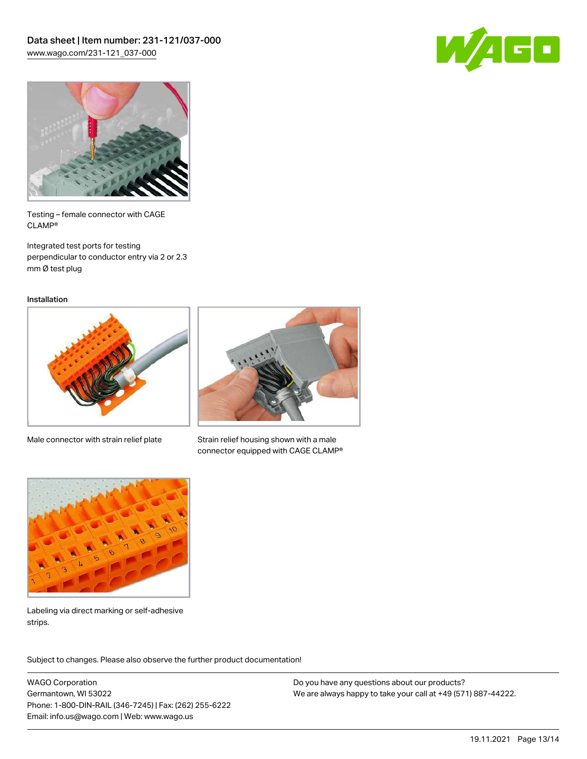



Testing – female connector with CAGE CLAMP®

Integrated test ports for testing perpendicular to conductor entry via 2 or 2.3 mm Ø test plug

Installation



Male connector with strain relief plate



Strain relief housing shown with a male connector equipped with CAGE CLAMP®



Labeling via direct marking or self-adhesive strips.

Subject to changes. Please also observe the further product documentation! Product family

WAGO Corporation Germantown, WI 53022 Phone: 1-800-DIN-RAIL (346-7245) | Fax: (262) 255-6222 Email: info.us@wago.com | Web: www.wago.us